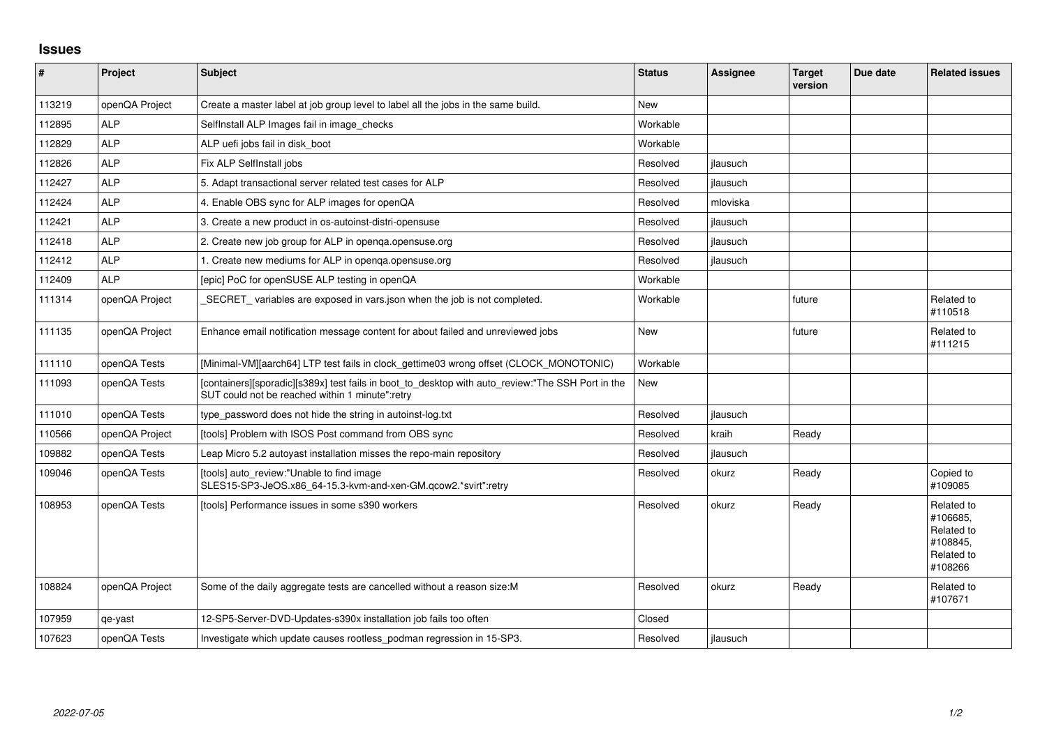## **Issues**

| $\vert$ # | Project        | <b>Subject</b>                                                                                                                                       | <b>Status</b> | <b>Assignee</b> | <b>Target</b><br>version | Due date | <b>Related issues</b>                                                     |
|-----------|----------------|------------------------------------------------------------------------------------------------------------------------------------------------------|---------------|-----------------|--------------------------|----------|---------------------------------------------------------------------------|
| 113219    | openQA Project | Create a master label at job group level to label all the jobs in the same build.                                                                    | <b>New</b>    |                 |                          |          |                                                                           |
| 112895    | <b>ALP</b>     | SelfInstall ALP Images fail in image_checks                                                                                                          | Workable      |                 |                          |          |                                                                           |
| 112829    | <b>ALP</b>     | ALP uefi jobs fail in disk boot                                                                                                                      | Workable      |                 |                          |          |                                                                           |
| 112826    | <b>ALP</b>     | Fix ALP SelfInstall jobs                                                                                                                             | Resolved      | jlausuch        |                          |          |                                                                           |
| 112427    | <b>ALP</b>     | 5. Adapt transactional server related test cases for ALP                                                                                             | Resolved      | jlausuch        |                          |          |                                                                           |
| 112424    | <b>ALP</b>     | 4. Enable OBS sync for ALP images for openQA                                                                                                         | Resolved      | mloviska        |                          |          |                                                                           |
| 112421    | <b>ALP</b>     | 3. Create a new product in os-autoinst-distri-opensuse                                                                                               | Resolved      | jlausuch        |                          |          |                                                                           |
| 112418    | <b>ALP</b>     | 2. Create new job group for ALP in openga.opensuse.org                                                                                               | Resolved      | jlausuch        |                          |          |                                                                           |
| 112412    | <b>ALP</b>     | 1. Create new mediums for ALP in openga.opensuse.org                                                                                                 | Resolved      | jlausuch        |                          |          |                                                                           |
| 112409    | <b>ALP</b>     | [epic] PoC for openSUSE ALP testing in openQA                                                                                                        | Workable      |                 |                          |          |                                                                           |
| 111314    | openQA Project | SECRET_variables are exposed in vars.json when the job is not completed.                                                                             | Workable      |                 | future                   |          | Related to<br>#110518                                                     |
| 111135    | openQA Project | Enhance email notification message content for about failed and unreviewed jobs                                                                      | New           |                 | future                   |          | Related to<br>#111215                                                     |
| 111110    | openQA Tests   | [Minimal-VM][aarch64] LTP test fails in clock_gettime03 wrong offset (CLOCK_MONOTONIC)                                                               | Workable      |                 |                          |          |                                                                           |
| 111093    | openQA Tests   | [containers][sporadic][s389x] test fails in boot_to_desktop with auto_review:"The SSH Port in the<br>SUT could not be reached within 1 minute":retry | New           |                 |                          |          |                                                                           |
| 111010    | openQA Tests   | type_password does not hide the string in autoinst-log.txt                                                                                           | Resolved      | jlausuch        |                          |          |                                                                           |
| 110566    | openQA Project | [tools] Problem with ISOS Post command from OBS sync                                                                                                 | Resolved      | kraih           | Ready                    |          |                                                                           |
| 109882    | openQA Tests   | Leap Micro 5.2 autoyast installation misses the repo-main repository                                                                                 | Resolved      | jlausuch        |                          |          |                                                                           |
| 109046    | openQA Tests   | [tools] auto_review:"Unable to find image<br>SLES15-SP3-JeOS.x86 64-15.3-kvm-and-xen-GM.gcow2.*svirt":retry                                          | Resolved      | okurz           | Ready                    |          | Copied to<br>#109085                                                      |
| 108953    | openQA Tests   | [tools] Performance issues in some s390 workers                                                                                                      | Resolved      | okurz           | Ready                    |          | Related to<br>#106685,<br>Related to<br>#108845,<br>Related to<br>#108266 |
| 108824    | openQA Project | Some of the daily aggregate tests are cancelled without a reason size:M                                                                              | Resolved      | okurz           | Ready                    |          | Related to<br>#107671                                                     |
| 107959    | qe-yast        | 12-SP5-Server-DVD-Updates-s390x installation job fails too often                                                                                     | Closed        |                 |                          |          |                                                                           |
| 107623    | openQA Tests   | Investigate which update causes rootless_podman regression in 15-SP3.                                                                                | Resolved      | ilausuch        |                          |          |                                                                           |